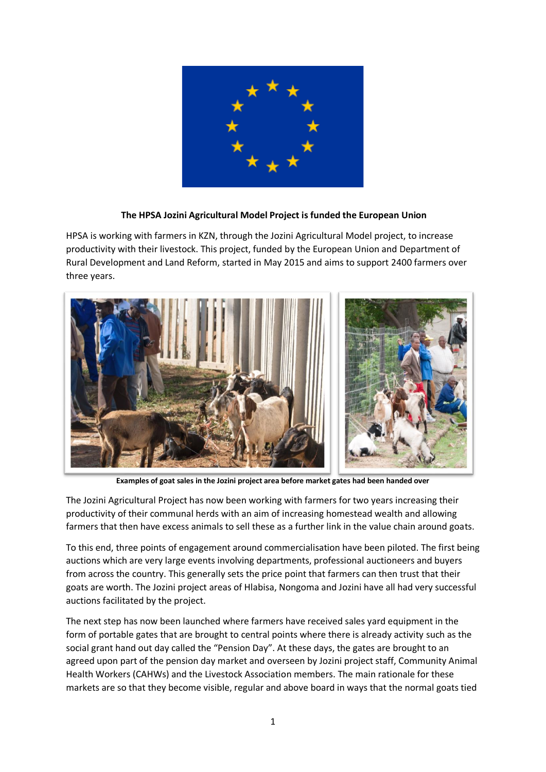

## **The HPSA Jozini Agricultural Model Project is funded the European Union**

HPSA is working with farmers in KZN, through the Jozini Agricultural Model project, to increase productivity with their livestock. This project, funded by the European Union and Department of Rural Development and Land Reform, started in May 2015 and aims to support 2400 farmers over three years.



**Examples of goat sales in the Jozini project area before market gates had been handed over**

The Jozini Agricultural Project has now been working with farmers for two years increasing their productivity of their communal herds with an aim of increasing homestead wealth and allowing farmers that then have excess animals to sell these as a further link in the value chain around goats.

To this end, three points of engagement around commercialisation have been piloted. The first being auctions which are very large events involving departments, professional auctioneers and buyers from across the country. This generally sets the price point that farmers can then trust that their goats are worth. The Jozini project areas of Hlabisa, Nongoma and Jozini have all had very successful auctions facilitated by the project.

The next step has now been launched where farmers have received sales yard equipment in the form of portable gates that are brought to central points where there is already activity such as the social grant hand out day called the "Pension Day". At these days, the gates are brought to an agreed upon part of the pension day market and overseen by Jozini project staff, Community Animal Health Workers (CAHWs) and the Livestock Association members. The main rationale for these markets are so that they become visible, regular and above board in ways that the normal goats tied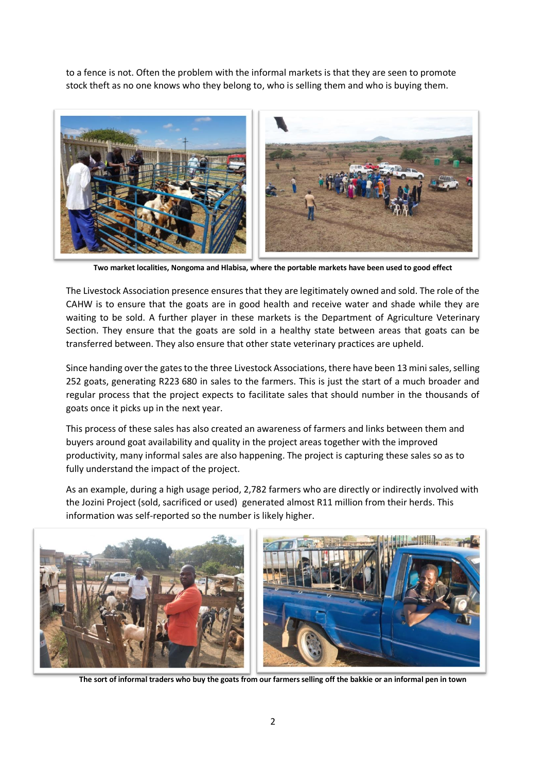to a fence is not. Often the problem with the informal markets is that they are seen to promote stock theft as no one knows who they belong to, who is selling them and who is buying them.



**Two market localities, Nongoma and Hlabisa, where the portable markets have been used to good effect**

The Livestock Association presence ensures that they are legitimately owned and sold. The role of the CAHW is to ensure that the goats are in good health and receive water and shade while they are waiting to be sold. A further player in these markets is the Department of Agriculture Veterinary Section. They ensure that the goats are sold in a healthy state between areas that goats can be transferred between. They also ensure that other state veterinary practices are upheld.

Since handing over the gates to the three Livestock Associations, there have been 13 mini sales, selling 252 goats, generating R223 680 in sales to the farmers. This is just the start of a much broader and regular process that the project expects to facilitate sales that should number in the thousands of goats once it picks up in the next year.

This process of these sales has also created an awareness of farmers and links between them and buyers around goat availability and quality in the project areas together with the improved productivity, many informal sales are also happening. The project is capturing these sales so as to fully understand the impact of the project.

As an example, during a high usage period, 2,782 farmers who are directly or indirectly involved with the Jozini Project (sold, sacrificed or used) generated almost R11 million from their herds. This information was self-reported so the number is likely higher.



**The sort of informal traders who buy the goats from our farmers selling off the bakkie or an informal pen in town**